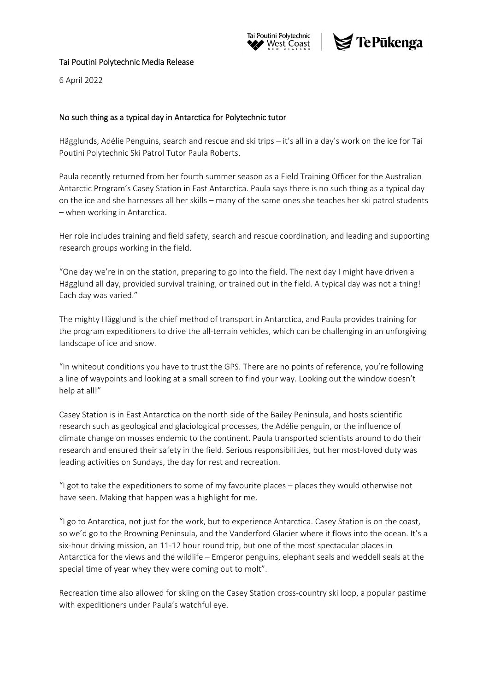



## Tai Poutini Polytechnic Media Release

6 April 2022

## No such thing as a typical day in Antarctica for Polytechnic tutor

Hägglunds, Adélie Penguins, search and rescue and ski trips – it's all in a day's work on the ice for Tai Poutini Polytechnic Ski Patrol Tutor Paula Roberts.

Paula recently returned from her fourth summer season as a Field Training Officer for the Australian Antarctic Program's Casey Station in East Antarctica. Paula says there is no such thing as a typical day on the ice and she harnesses all her skills – many of the same ones she teaches her ski patrol students – when working in Antarctica.

Her role includes training and field safety, search and rescue coordination, and leading and supporting research groups working in the field.

"One day we're in on the station, preparing to go into the field. The next day I might have driven a Hägglund all day, provided survival training, or trained out in the field. A typical day was not a thing! Each day was varied."

The mighty Hägglund is the chief method of transport in Antarctica, and Paula provides training for the program expeditioners to drive the all‐terrain vehicles, which can be challenging in an unforgiving landscape of ice and snow.

"In whiteout conditions you have to trust the GPS. There are no points of reference, you're following a line of waypoints and looking at a small screen to find your way. Looking out the window doesn't help at all!"

Casey Station is in East Antarctica on the north side of the Bailey Peninsula, and hosts scientific research such as geological and glaciological processes, the Adélie penguin, or the influence of climate change on mosses endemic to the continent. Paula transported scientists around to do their research and ensured their safety in the field. Serious responsibilities, but her most-loved duty was leading activities on Sundays, the day for rest and recreation.

"I got to take the expeditioners to some of my favourite places – places they would otherwise not have seen. Making that happen was a highlight for me.

"I go to Antarctica, not just for the work, but to experience Antarctica. Casey Station is on the coast, so we'd go to the Browning Peninsula, and the Vanderford Glacier where it flows into the ocean. It's a six‐hour driving mission, an 11‐12 hour round trip, but one of the most spectacular places in Antarctica for the views and the wildlife – Emperor penguins, elephant seals and weddell seals at the special time of year whey they were coming out to molt".

Recreation time also allowed for skiing on the Casey Station cross‐country ski loop, a popular pastime with expeditioners under Paula's watchful eye.